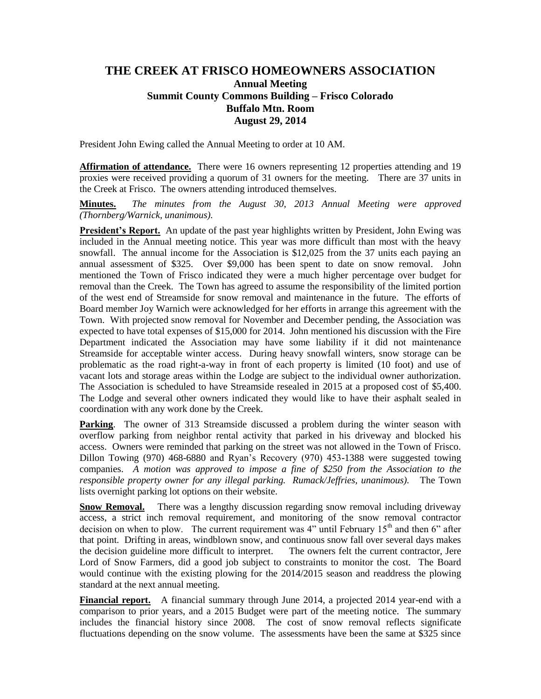## **THE CREEK AT FRISCO HOMEOWNERS ASSOCIATION Annual Meeting Summit County Commons Building – Frisco Colorado Buffalo Mtn. Room August 29, 2014**

President John Ewing called the Annual Meeting to order at 10 AM.

**Affirmation of attendance.** There were 16 owners representing 12 properties attending and 19 proxies were received providing a quorum of 31 owners for the meeting. There are 37 units in the Creek at Frisco. The owners attending introduced themselves.

**Minutes.** *The minutes from the August 30, 2013 Annual Meeting were approved (Thornberg/Warnick, unanimous).*

**President's Report.** An update of the past year highlights written by President, John Ewing was included in the Annual meeting notice. This year was more difficult than most with the heavy snowfall. The annual income for the Association is \$12,025 from the 37 units each paying an annual assessment of \$325. Over \$9,000 has been spent to date on snow removal. John mentioned the Town of Frisco indicated they were a much higher percentage over budget for removal than the Creek. The Town has agreed to assume the responsibility of the limited portion of the west end of Streamside for snow removal and maintenance in the future. The efforts of Board member Joy Warnich were acknowledged for her efforts in arrange this agreement with the Town. With projected snow removal for November and December pending, the Association was expected to have total expenses of \$15,000 for 2014. John mentioned his discussion with the Fire Department indicated the Association may have some liability if it did not maintenance Streamside for acceptable winter access. During heavy snowfall winters, snow storage can be problematic as the road right-a-way in front of each property is limited (10 foot) and use of vacant lots and storage areas within the Lodge are subject to the individual owner authorization. The Association is scheduled to have Streamside resealed in 2015 at a proposed cost of \$5,400. The Lodge and several other owners indicated they would like to have their asphalt sealed in coordination with any work done by the Creek.

**Parking**. The owner of 313 Streamside discussed a problem during the winter season with overflow parking from neighbor rental activity that parked in his driveway and blocked his access. Owners were reminded that parking on the street was not allowed in the Town of Frisco. Dillon Towing (970) 468-6880 and Ryan's Recovery (970) 453-1388 were suggested towing companies. *A motion was approved to impose a fine of \$250 from the Association to the responsible property owner for any illegal parking. Rumack/Jeffries, unanimous).* The Town lists overnight parking lot options on their website.

**Snow Removal.** There was a lengthy discussion regarding snow removal including driveway access, a strict inch removal requirement, and monitoring of the snow removal contractor decision on when to plow. The current requirement was  $4$ " until February  $15<sup>th</sup>$  and then 6" after that point. Drifting in areas, windblown snow, and continuous snow fall over several days makes the decision guideline more difficult to interpret. The owners felt the current contractor, Jere Lord of Snow Farmers, did a good job subject to constraints to monitor the cost. The Board would continue with the existing plowing for the 2014/2015 season and readdress the plowing standard at the next annual meeting.

**Financial report.** A financial summary through June 2014, a projected 2014 year-end with a comparison to prior years, and a 2015 Budget were part of the meeting notice. The summary includes the financial history since 2008. The cost of snow removal reflects significate fluctuations depending on the snow volume. The assessments have been the same at \$325 since